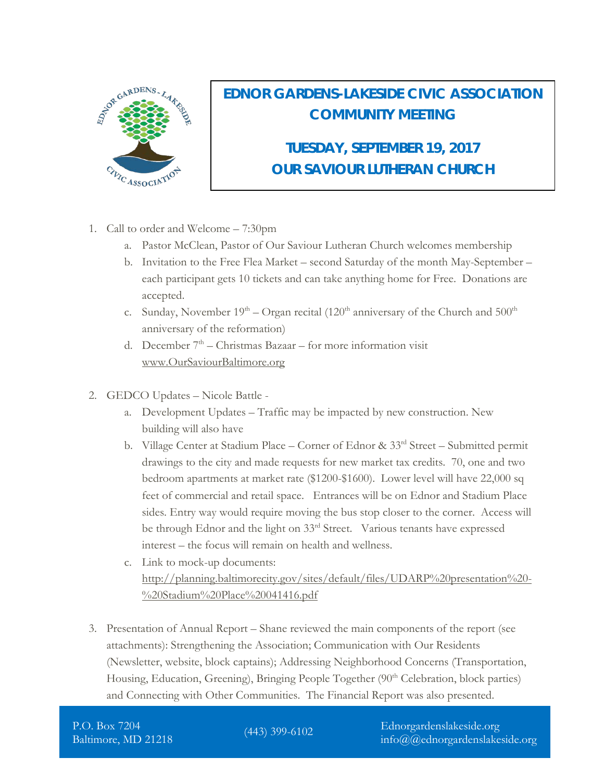

## **EDNOR GARDENS-LAKESIDE CIVIC ASSOCIATION COMMUNITY MEETING**

**TUESDAY, SEPTEMBER 19, 2017 OUR SAVIOUR LUTHERAN CHURCH** 

- 1. Call to order and Welcome 7:30pm
	- a. Pastor McClean, Pastor of Our Saviour Lutheran Church welcomes membership
	- b. Invitation to the Free Flea Market second Saturday of the month May-September each participant gets 10 tickets and can take anything home for Free. Donations are accepted.
	- c. Sunday, November  $19<sup>th</sup> Organ$  recital (120<sup>th</sup> anniversary of the Church and  $500<sup>th</sup>$ anniversary of the reformation)
	- d. December  $7<sup>th</sup>$  Christmas Bazaar for more information visit [www.OurSaviourBaltimore.org](http://www.oursaviourbaltimore.org/)
- 2. GEDCO Updates Nicole Battle
	- a. Development Updates Traffic may be impacted by new construction. New building will also have
	- b. Village Center at Stadium Place Corner of Ednor & 33<sup>rd</sup> Street Submitted permit drawings to the city and made requests for new market tax credits. 70, one and two bedroom apartments at market rate (\$1200-\$1600). Lower level will have 22,000 sq feet of commercial and retail space. Entrances will be on Ednor and Stadium Place sides. Entry way would require moving the bus stop closer to the corner. Access will be through Ednor and the light on 33<sup>rd</sup> Street. Various tenants have expressed interest – the focus will remain on health and wellness.
	- c. Link to mock-up documents: [http://planning.baltimorecity.gov/sites/default/files/UDARP%20presentation%20-](http://planning.baltimorecity.gov/sites/default/files/UDARP%20presentation%20-%20Stadium%20Place%20041416.pdf) [%20Stadium%20Place%20041416.pdf](http://planning.baltimorecity.gov/sites/default/files/UDARP%20presentation%20-%20Stadium%20Place%20041416.pdf)
- 3. Presentation of Annual Report Shane reviewed the main components of the report (see attachments): Strengthening the Association; Communication with Our Residents (Newsletter, website, block captains); Addressing Neighborhood Concerns (Transportation, Housing, Education, Greening), Bringing People Together (90<sup>th</sup> Celebration, block parties) and Connecting with Other Communities. The Financial Report was also presented.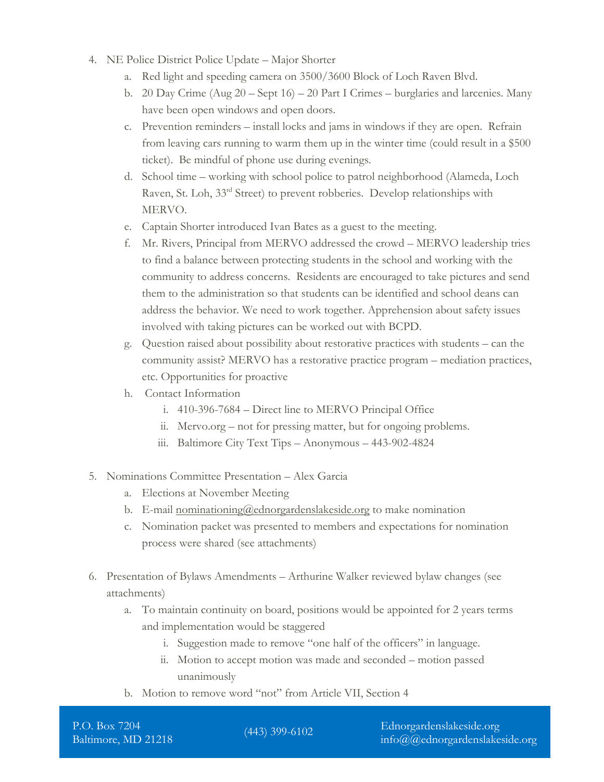- 4. NE Police District Police Update Major Shorter
	- a. Red light and speeding camera on 3500/3600 Block of Loch Raven Blvd.
	- b. 20 Day Crime (Aug 20 Sept 16) 20 Part I Crimes burglaries and larcenies. Many have been open windows and open doors.
	- c. Prevention reminders install locks and jams in windows if they are open. Refrain from leaving cars running to warm them up in the winter time (could result in a \$500 ticket). Be mindful of phone use during evenings.
	- d. School time working with school police to patrol neighborhood (Alameda, Loch Raven, St. Loh, 33<sup>rd</sup> Street) to prevent robberies. Develop relationships with MERVO.
	- e. Captain Shorter introduced Ivan Bates as a guest to the meeting.
	- f. Mr. Rivers, Principal from MERVO addressed the crowd MERVO leadership tries to find a balance between protecting students in the school and working with the community to address concerns. Residents are encouraged to take pictures and send them to the administration so that students can be identified and school deans can address the behavior. We need to work together. Apprehension about safety issues involved with taking pictures can be worked out with BCPD.
	- g. Question raised about possibility about restorative practices with students can the community assist? MERVO has a restorative practice program – mediation practices, etc. Opportunities for proactive
	- h. Contact Information
		- i. 410-396-7684 Direct line to MERVO Principal Office
		- ii. Mervo.org not for pressing matter, but for ongoing problems.
		- iii. Baltimore City Text Tips Anonymous 443-902-4824
- 5. Nominations Committee Presentation Alex Garcia
	- a. Elections at November Meeting
	- b. E-mail [nominationing@ednorgardenslakeside.org](mailto:nominationing@ednorgardenslakeside.org) to make nomination
	- c. Nomination packet was presented to members and expectations for nomination process were shared (see attachments)
- 6. Presentation of Bylaws Amendments Arthurine Walker reviewed bylaw changes (see attachments)
	- a. To maintain continuity on board, positions would be appointed for 2 years terms and implementation would be staggered
		- i. Suggestion made to remove "one half of the officers" in language.
		- ii. Motion to accept motion was made and seconded motion passed unanimously
	- b. Motion to remove word "not" from Article VII, Section 4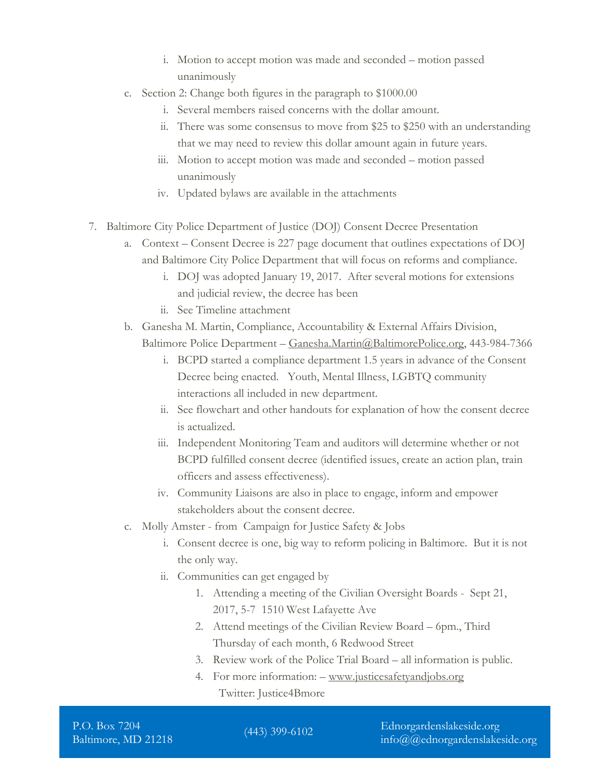- i. Motion to accept motion was made and seconded motion passed unanimously
- c. Section 2: Change both figures in the paragraph to \$1000.00
	- i. Several members raised concerns with the dollar amount.
	- ii. There was some consensus to move from \$25 to \$250 with an understanding that we may need to review this dollar amount again in future years.
	- iii. Motion to accept motion was made and seconded motion passed unanimously
	- iv. Updated bylaws are available in the attachments
- 7. Baltimore City Police Department of Justice (DOJ) Consent Decree Presentation
	- a. Context Consent Decree is 227 page document that outlines expectations of DOJ and Baltimore City Police Department that will focus on reforms and compliance.
		- i. DOJ was adopted January 19, 2017. After several motions for extensions and judicial review, the decree has been
		- ii. See Timeline attachment
	- b. Ganesha M. Martin, Compliance, Accountability & External Affairs Division, Baltimore Police Department – [Ganesha.Martin@BaltimorePolice.org,](mailto:Ganesha.Martin@BaltimorePolice.org) 443-984-7366
		- i. BCPD started a compliance department 1.5 years in advance of the Consent Decree being enacted. Youth, Mental Illness, LGBTQ community interactions all included in new department.
		- ii. See flowchart and other handouts for explanation of how the consent decree is actualized.
		- iii. Independent Monitoring Team and auditors will determine whether or not BCPD fulfilled consent decree (identified issues, create an action plan, train officers and assess effectiveness).
		- iv. Community Liaisons are also in place to engage, inform and empower stakeholders about the consent decree.
	- c. Molly Amster from Campaign for Justice Safety & Jobs
		- i. Consent decree is one, big way to reform policing in Baltimore. But it is not the only way.
		- ii. Communities can get engaged by
			- 1. Attending a meeting of the Civilian Oversight Boards Sept 21, 2017, 5-7 1510 West Lafayette Ave
			- 2. Attend meetings of the Civilian Review Board 6pm., Third Thursday of each month, 6 Redwood Street
			- 3. Review work of the Police Trial Board all information is public.
			- 4. For more information: [www.justicesafetyandjobs.org](http://www.justicesafetyandjobs.org/) Twitter: Justice4Bmore